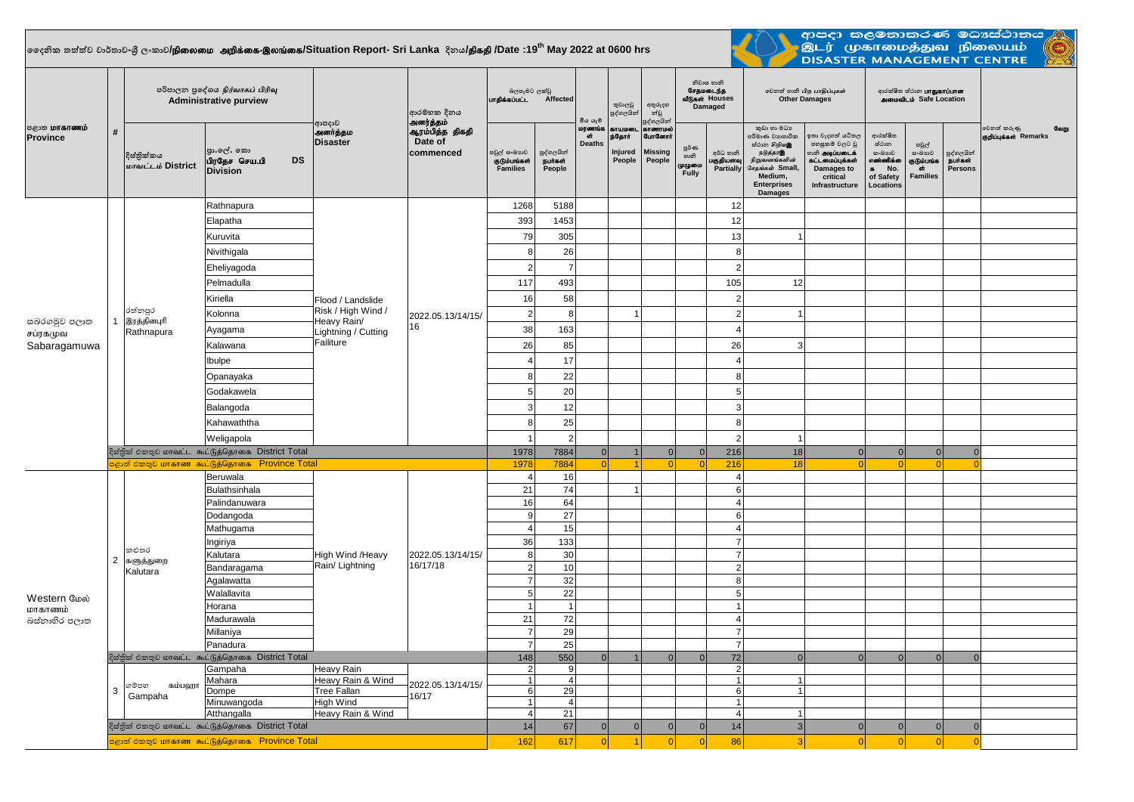## $\vert$ ලෛදනික තත්ත්ව වාර්තාව-ශී ලංකාව**/நிலைமை அறிக்கை-இலங்கை/Situation Report- Sri Lanka දිනය<b>/திகதி /D**ate :19<sup>th</sup> May 2022 at 0600 hrs



ආපදා කළමනාකරණ මධාස්ථානය<br>.<br>DISASTER MANAGEMENT CENTRE<br>DISASTER MANAGEMENT CENTRE

| <b>ு கோணம்</b><br><b>Province</b>        | #              | පරිපාලන පුදේශය நிர்வாகப் பிரிவு<br><b>Administrative purview</b> |                                                                          |                                                                                            | ආරම්භක දිනය                                          | බලපෑමට ලක්වු<br>urgasuuLL Affected       |                                        | මිය යෑම්               | තුවාලවු<br>පුද්ගලයින්                   | අතුරුදහ<br>න්වූ                                                       | නිවාස හානි<br>சேதமடைந்த<br>வீடுகள் Houses<br>Damaged |                                     | லிறை லி பிற பாதிப்புகள்<br><b>Other Damages</b>                                                                                                    |                                                                                                                          | ආරක්ෂිත ස්ථාන <b>பாதுகாப்பான</b><br>அமைவிடம் Safe Location                                           |                                                        |                                         |                                              |  |
|------------------------------------------|----------------|------------------------------------------------------------------|--------------------------------------------------------------------------|--------------------------------------------------------------------------------------------|------------------------------------------------------|------------------------------------------|----------------------------------------|------------------------|-----------------------------------------|-----------------------------------------------------------------------|------------------------------------------------------|-------------------------------------|----------------------------------------------------------------------------------------------------------------------------------------------------|--------------------------------------------------------------------------------------------------------------------------|------------------------------------------------------------------------------------------------------|--------------------------------------------------------|-----------------------------------------|----------------------------------------------|--|
|                                          |                | දිස්තික්කය<br>மாவட்டம் District                                  | පා.ලේ. කො<br>பிரதேச செய.பி<br><b>DS</b><br><b>Division</b>               | ආපදාව<br>அனர்த்தம<br><b>Disaster</b>                                                       | அனர்த்தம்<br>ஆரம்பித்த திகதி<br>Date of<br>commenced | පවුල් සංඛාගව<br>குடும்பங்கள்<br>Families | පුද්ගලයින්<br><b>Burastr</b><br>People | மரணங்க<br>ள்<br>Deaths | காயமன<br>рі Сідпіт<br>Injured<br>People | පුද්ගලයින්<br>காணாமல்<br><b>GurGomrit</b><br><b>Missing</b><br>People | <b>පූර්</b> ණ<br>හානි<br>முழுமை<br>Fully             | අර්ධ හානි<br>பகுதியளவு<br>Partially | කුඩා හා මධා<br>පරිමාණ වශපාරික<br>ස්ථාන හිඹු ගමු<br>நடுத்தரஇ<br>நிறுவனங்களின்<br>சேதங்கள் Small,<br>Medium,<br><b>Enterprises</b><br><b>Damages</b> | ඉතා වැදගත් යටිතල<br>පහසුකම් වලට වූ<br><b>ை அடிப்படைக்</b><br>கட்டமைப்புக்கள்<br>Damages to<br>critical<br>Infrastructure | ආරක්ෂිත<br>ස්ථාන<br>සංඛාාාව<br>எண்ணிக்க<br>No.<br>$\overline{\phantom{a}}$<br>of Safety<br>Locations | පවුල්<br>සංඛාගව<br>குடும்பங்க<br>ள்<br><b>Families</b> | පුද්ගලයින්<br><b>நபர்கள்</b><br>Persons | වෙනත් කරුණු<br>வேறு<br>குறிப்புக்கள் Remarks |  |
|                                          |                |                                                                  | Rathnapura                                                               | Flood / Landslide<br>Risk / High Wind /<br>Heavy Rain/<br>Lightning / Cutting<br>Failiture | 2022.05.13/14/15/<br>16                              | 1268                                     | 5188                                   |                        |                                         |                                                                       |                                                      | 12                                  |                                                                                                                                                    |                                                                                                                          |                                                                                                      |                                                        |                                         |                                              |  |
|                                          |                |                                                                  | Elapatha                                                                 |                                                                                            |                                                      | 393                                      | 1453                                   |                        |                                         |                                                                       |                                                      | 12                                  |                                                                                                                                                    |                                                                                                                          |                                                                                                      |                                                        |                                         |                                              |  |
|                                          |                |                                                                  | Kuruvita                                                                 |                                                                                            |                                                      | 79                                       | 305                                    |                        |                                         |                                                                       |                                                      | 13                                  |                                                                                                                                                    |                                                                                                                          |                                                                                                      |                                                        |                                         |                                              |  |
|                                          |                |                                                                  | Nivithigala                                                              |                                                                                            |                                                      | 8                                        | 26                                     |                        |                                         |                                                                       |                                                      | 8                                   |                                                                                                                                                    |                                                                                                                          |                                                                                                      |                                                        |                                         |                                              |  |
|                                          |                | රත්නපුර<br>இரத்தினபுரி<br>Rathnapura                             | Eheliyagoda                                                              |                                                                                            |                                                      | $\overline{2}$                           | $\overline{7}$                         |                        |                                         |                                                                       |                                                      | $\overline{2}$                      |                                                                                                                                                    |                                                                                                                          |                                                                                                      |                                                        |                                         |                                              |  |
|                                          |                |                                                                  | Pelmadulla                                                               |                                                                                            |                                                      | 117                                      | 493                                    |                        |                                         |                                                                       |                                                      | 105                                 | 12                                                                                                                                                 |                                                                                                                          |                                                                                                      |                                                        |                                         |                                              |  |
| සබරගමුව පලාත<br>சப்ரகமுவ<br>Sabaragamuwa |                |                                                                  | Kiriella                                                                 |                                                                                            |                                                      | 16                                       | 58                                     |                        |                                         |                                                                       |                                                      | $\overline{2}$                      |                                                                                                                                                    |                                                                                                                          |                                                                                                      |                                                        |                                         |                                              |  |
|                                          |                |                                                                  | Kolonna                                                                  |                                                                                            |                                                      | 2                                        | 8                                      |                        | $\mathbf{1}$                            |                                                                       |                                                      | $\overline{2}$                      | 1                                                                                                                                                  |                                                                                                                          |                                                                                                      |                                                        |                                         |                                              |  |
|                                          |                |                                                                  | Ayagama                                                                  |                                                                                            |                                                      | 38                                       | 163                                    |                        |                                         |                                                                       |                                                      | $\Delta$                            |                                                                                                                                                    |                                                                                                                          |                                                                                                      |                                                        |                                         |                                              |  |
|                                          |                |                                                                  | Kalawana                                                                 |                                                                                            |                                                      | 26                                       | 85                                     |                        |                                         |                                                                       |                                                      | 26                                  | 3                                                                                                                                                  |                                                                                                                          |                                                                                                      |                                                        |                                         |                                              |  |
|                                          |                |                                                                  |                                                                          |                                                                                            |                                                      | $\overline{4}$                           |                                        |                        |                                         |                                                                       |                                                      | $\overline{4}$                      |                                                                                                                                                    |                                                                                                                          |                                                                                                      |                                                        |                                         |                                              |  |
|                                          |                |                                                                  | Ibulpe                                                                   |                                                                                            |                                                      |                                          | 17                                     |                        |                                         |                                                                       |                                                      |                                     |                                                                                                                                                    |                                                                                                                          |                                                                                                      |                                                        |                                         |                                              |  |
|                                          |                |                                                                  | Opanayaka                                                                |                                                                                            |                                                      | 8                                        | 22                                     |                        |                                         |                                                                       |                                                      | 8                                   |                                                                                                                                                    |                                                                                                                          |                                                                                                      |                                                        |                                         |                                              |  |
|                                          |                |                                                                  | Godakawela                                                               |                                                                                            |                                                      | 5 <sup>1</sup>                           | 20                                     |                        |                                         |                                                                       |                                                      | 5                                   |                                                                                                                                                    |                                                                                                                          |                                                                                                      |                                                        |                                         |                                              |  |
|                                          |                |                                                                  | Balangoda                                                                |                                                                                            |                                                      | $\mathbf{3}$                             | 12                                     |                        |                                         |                                                                       |                                                      | 3                                   |                                                                                                                                                    |                                                                                                                          |                                                                                                      |                                                        |                                         |                                              |  |
|                                          |                |                                                                  | Kahawaththa                                                              |                                                                                            |                                                      | 8                                        | 25                                     |                        |                                         |                                                                       |                                                      | 8                                   |                                                                                                                                                    |                                                                                                                          |                                                                                                      |                                                        |                                         |                                              |  |
|                                          |                |                                                                  | Weligapola                                                               |                                                                                            |                                                      | $\mathbf{1}$                             | $\overline{2}$                         |                        |                                         |                                                                       |                                                      | $\overline{2}$                      | $\mathbf{1}$                                                                                                                                       |                                                                                                                          |                                                                                                      |                                                        |                                         |                                              |  |
|                                          |                |                                                                  | දිස්තික් එකතුව மாவட்ட கூட்டுத்தொகை District Total                        |                                                                                            |                                                      | 1978                                     | 7884                                   | 0                      |                                         | 0                                                                     | 0                                                    | 216                                 | 18                                                                                                                                                 | 0                                                                                                                        | $\overline{0}$                                                                                       | 0                                                      | $\Omega$                                |                                              |  |
|                                          |                |                                                                  | <mark>පළාත් එකතුව மாகாண கூட்டுத்தொகை   Province Total</mark><br>Beruwala |                                                                                            |                                                      | 1978<br>$\overline{4}$                   | 7884<br>16                             | -ol                    | $\blacktriangleleft$                    | $\Omega$                                                              | - Ol                                                 | 216<br>$\overline{4}$               | 18                                                                                                                                                 | n                                                                                                                        | $\Omega$                                                                                             | n                                                      | $\Omega$                                |                                              |  |
|                                          | $\overline{2}$ | කළුතර<br>களுத்துறை<br>Kalutara                                   | Bulathsinhala                                                            | High Wind /Heavy<br>Rain/ Lightning                                                        | 2022.05.13/14/15/<br>16/17/18                        | 21                                       | 74                                     |                        | $\mathbf{1}$                            |                                                                       |                                                      | 6                                   |                                                                                                                                                    |                                                                                                                          |                                                                                                      |                                                        |                                         |                                              |  |
|                                          |                |                                                                  | Palindanuwara                                                            |                                                                                            |                                                      | 16                                       | 64                                     |                        |                                         |                                                                       |                                                      | $\boldsymbol{\Delta}$               |                                                                                                                                                    |                                                                                                                          |                                                                                                      |                                                        |                                         |                                              |  |
|                                          |                |                                                                  | Dodangoda                                                                |                                                                                            |                                                      | $\boldsymbol{9}$                         | 27                                     |                        |                                         |                                                                       |                                                      | 6                                   |                                                                                                                                                    |                                                                                                                          |                                                                                                      |                                                        |                                         |                                              |  |
|                                          |                |                                                                  | Mathugama                                                                |                                                                                            |                                                      | $\overline{4}$                           | 15                                     |                        |                                         |                                                                       |                                                      | $\boldsymbol{\Delta}$               |                                                                                                                                                    |                                                                                                                          |                                                                                                      |                                                        |                                         |                                              |  |
| Western மேல்<br>மாகாணம்<br>බස්නාහිර පලාත |                |                                                                  | Ingiriya                                                                 |                                                                                            |                                                      | 36                                       | 133                                    |                        |                                         |                                                                       |                                                      | $\overline{7}$                      |                                                                                                                                                    |                                                                                                                          |                                                                                                      |                                                        |                                         |                                              |  |
|                                          |                |                                                                  | Kalutara                                                                 |                                                                                            |                                                      | 8 <sup>1</sup>                           | 30                                     |                        |                                         |                                                                       |                                                      | $\overline{7}$                      |                                                                                                                                                    |                                                                                                                          |                                                                                                      |                                                        |                                         |                                              |  |
|                                          |                |                                                                  | Bandaragama                                                              |                                                                                            |                                                      | $2\vert$                                 | 10                                     |                        |                                         |                                                                       |                                                      | $\overline{2}$                      |                                                                                                                                                    |                                                                                                                          |                                                                                                      |                                                        |                                         |                                              |  |
|                                          |                |                                                                  | Agalawatta<br>Walallavita                                                |                                                                                            |                                                      | $\overline{7}$<br>5 <sup>1</sup>         | 32<br>22                               |                        |                                         |                                                                       |                                                      | $\boldsymbol{8}$<br>5 <sup>1</sup>  |                                                                                                                                                    |                                                                                                                          |                                                                                                      |                                                        |                                         |                                              |  |
|                                          |                |                                                                  | Horana                                                                   |                                                                                            |                                                      | $\mathbf{1}$                             | $\mathbf{1}$                           |                        |                                         |                                                                       |                                                      | $\overline{1}$                      |                                                                                                                                                    |                                                                                                                          |                                                                                                      |                                                        |                                         |                                              |  |
|                                          |                |                                                                  | Madurawala                                                               |                                                                                            |                                                      | 21                                       | 72                                     |                        |                                         |                                                                       |                                                      | $\overline{4}$                      |                                                                                                                                                    |                                                                                                                          |                                                                                                      |                                                        |                                         |                                              |  |
|                                          |                |                                                                  | Millaniya                                                                |                                                                                            |                                                      | $\overline{7}$                           | 29                                     |                        |                                         |                                                                       |                                                      | $\overline{7}$                      |                                                                                                                                                    |                                                                                                                          |                                                                                                      |                                                        |                                         |                                              |  |
|                                          |                |                                                                  | Panadura                                                                 |                                                                                            |                                                      | 7 <sup>1</sup><br>148                    | 25                                     |                        |                                         |                                                                       |                                                      | $\overline{7}$                      |                                                                                                                                                    |                                                                                                                          |                                                                                                      |                                                        |                                         |                                              |  |
|                                          |                | දිස්තික් එකතුව மாவட்ட கூட்டுத்தொகை District Total                |                                                                          |                                                                                            |                                                      |                                          | 550                                    | 0                      |                                         | $\Omega$                                                              | 0                                                    | 72                                  | 0                                                                                                                                                  | 0                                                                                                                        | $\Omega$                                                                                             | 0                                                      | $\Omega$                                |                                              |  |
|                                          |                |                                                                  | Gampaha                                                                  | Heavy Rain                                                                                 | Heavy Rain & Wind<br>2022.05.13/14/15/               | 2 <sup>1</sup>                           | 9                                      |                        |                                         |                                                                       |                                                      | $\overline{2}$<br>$\overline{1}$    | $\vert$                                                                                                                                            |                                                                                                                          |                                                                                                      |                                                        |                                         |                                              |  |
|                                          | 3              | கம்பஹா<br>ගම්පහ<br>Gampaha                                       | Mahara<br>Dompe                                                          | <b>Tree Fallan</b>                                                                         |                                                      | 1 <sup>1</sup><br>6                      | $\left 4\right $<br>29                 |                        |                                         |                                                                       |                                                      | 6                                   | $\overline{1}$                                                                                                                                     |                                                                                                                          |                                                                                                      |                                                        |                                         |                                              |  |
|                                          |                |                                                                  | Minuwangoda                                                              | <b>High Wind</b>                                                                           | 16/17                                                | 1 <sup>1</sup>                           | $\vert$ 4                              |                        |                                         |                                                                       |                                                      | $\overline{1}$                      |                                                                                                                                                    |                                                                                                                          |                                                                                                      |                                                        |                                         |                                              |  |
|                                          |                |                                                                  | Atthangalla                                                              | Heavy Rain & Wind                                                                          |                                                      | $\vert$<br>14                            | 21                                     |                        |                                         |                                                                       |                                                      | $\overline{4}$                      | $\mathbf{1}$                                                                                                                                       |                                                                                                                          |                                                                                                      |                                                        |                                         |                                              |  |
|                                          |                | දිස්තික් එකතුව மாவட்ட கூட்டுத்தொகை District Total                |                                                                          |                                                                                            |                                                      |                                          | 67                                     | $\mathbf{0}$           | 0                                       | 0                                                                     | 0                                                    | 14                                  | 3 <sup>1</sup>                                                                                                                                     | 0                                                                                                                        | $\mathbf{0}$                                                                                         | $\Omega$                                               | $\overline{0}$                          |                                              |  |
|                                          |                | පළාත් එකතුව மாகாண கூட்டுத்தொகை Province Total                    | 162                                                                      | 617                                                                                        | 0                                                    | $\overline{1}$                           | 0                                      | 0                      | 86                                      | 3 <sup>l</sup>                                                        | 0                                                    | $\overline{0}$                      | 0                                                                                                                                                  | $\Omega$                                                                                                                 |                                                                                                      |                                                        |                                         |                                              |  |